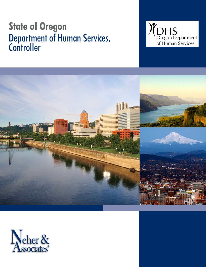# **Department of Hu** Department of Human Services, **Controller**





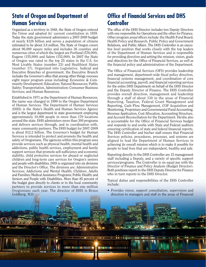### **State of Oregon and Department of Human Services**

Organized as a territory in 1848, the State of Oregon entered the Union and adopted its' current constitution in 1859. Today the state government administers a 2007-2009 budget of nearly \$128 billion and serves a population of citizens estimated to be about 3.8 million. The State of Oregon covers about 96,000 square miles and includes 36 counties and numerous cities of which the largest are Portland (576,000), Eugene (155,000) and Salem (152,000). In 2007 the State of Oregon was rated in the top 25 states in the U.S. for Most Livable States (number 23) and Healthiest States (number 17). Organized into Legislative, Judicial and Executive Branches of government, the Executive Branch includes the Governor's office that among other things oversees eight major program areas including: Economic & Community Development; Education; Natural Resources; Public Safety; Transportation, Administration; Consumer Business Services; and Human Resources.

Established in 1971 as the Department of Human Resources, the name was changed in 1999 to the Oregon Department of Human Services. The Department of Human Services (DHS) is the State's Health and Human Services Agency and is the largest department in state government employing approximately 10,000 people in more than 170 locations around the state. DHS administers more than 300 programs and delivers services through, and in coordination with, many community partners. The DHS budget for 2007-2009 is about \$12.2 billion. The Governor's budget for Human Services is intended to protect and promote the health and safety of Oregonians. The agencies within this program area provide services such as physical health, mental health and addictions, public health services, employment and family support services that promote self-sufficiency and economic stability, child protective services for abused or neglected children and long-term care services for Oregon's seniors and people with disabilities. DHS is organized into six divisions and the Director's Office. The divisions are: Administrative Services; Addictions and Mental Health; Children, Adults and Families; Medical Assistance Programs; Public Health; and Seniors and People with Disabilities. More than 85 percent of the budget goes directly to clients or to the local community partners to provide services to more than one million Oregonians each year. The director of DHS is Bruce Goldberg, M.D.

**TELESEERT** 

TRALL-1

**HELLEL HELL** 

# **Office of Financial Services and DHS Controller**

The office of the DHS Director includes two Deputy Directors with one responsible for Operations and the other for Finance. Other program areas/offices include: the Health Fund Board, Health Policy and Research, Public Policy and Government Relations, and Public Affairs. The DHS Controller is an executive level position that works closely with the top leaders of the Department of Human Services and is responsible for providing direction and setting the mission, vision, goals and objectives for the Office of Financial Services, as well as the financial policy and administration of the Department.

The Office of Financial Services (OFS) provides leadership and management, department-wide fiscal policy direction, financial systems management, and coordination of core financial accounting, payroll, and financial reporting services for the entire DHS Department on behalf of the DHS Director and the Deputy Director of Finance. The DHS Controller provides overall direction, management and leadership through a staff of about 130 in the areas of Financial Reporting, Taxation, Federal Grant Management and Reporting, Cash Flow Management, COP Acquisition and Monitoring, Proprietary and Governmental Fund Accounting, Revenue Application, Cost Allocation, Accounting Structure, and Account Reconciliation for the Department. He/she also is accountable for the Office of Financial Services budget and responds to and works with State and Federal auditors ensuring certification of state and federal financial reports. The DHS Controller and his/her staff ensure that Financial Services policies, procedures, processes, and systems are aligned to lead the Department of Human Services in achieving its overall mission which is to make it possible for people to lead lives that are independent, healthy and safe.

Reporting directly to the DHS Controller are 12 management staff including a Deputy, and a variety of specific support services/programs. The Controller is on equal par with the Director of Finance and Policy Analysis (Budget Director). Both positions report to the DHS Deputy Director for Finance who in turn reports to the DHS Director.

Typical duties and responsibilities of the DHS Controller include:

• Provides vision, support consultation, supervision and direction to managers and staff in the areas of Financial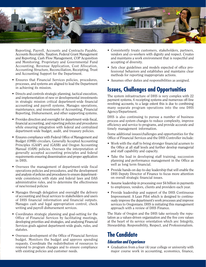

Reporting, Payroll, Accounts and Contracts Payable, Accounts Receivable, Taxation, Federal Grant Management and Reporting, Cash Flow Management, COP Acquisition and Monitoring, Proprietary and Governmental Fund Accounting, Revenue Application, Cost Allocation, Accounting Structure, Reconciliation, Receipting, Trust and Accounting Support for the Department.

- Ensures that Financial Services policies, procedures, processes, and systems are aligned to lead the Department in achieving its mission.
- Directs and controls strategic planning, tactical execution, and implementation of new or developmental investments in strategic mission critical department-wide financial accounting and payroll systems. Manages operations, maintenance, and investments of Accounting, Financial Reporting, Disbursement, and other supporting systems.
- Provides direction and oversight for department-wide fiscal, financial accounting, and reporting policies and procedures while ensuring integration with federal and centralized department-wide budget, audit, and treasury policies.
- Ensures compliance with Federal Office of Management and Budget (OMB) circulars, Generally Accepted Accounting Principles (GAAP) and (GASB) and Oregon Accounting Manual (OAM) policies. Oversees the interpretation of generally accepted accounting principles and federal requirements ensuring dissemination and proper application in DHS.
- Oversees the management of department-wide fiscal operations policies and procedures, and the development and analysis of policies and procedures to ensure departmentwide consistency with state and federal laws and DAS administrative rules, and to determine the effectiveness of new/revised policies
- Manages through delegation and oversight the delivery of accounting and fiscal services to stakeholders and users of DHS financial information and financial outputs. Manages cash and legal appropriation control, check writing and payroll disbursement services.
- Coordinates strategic planning and goal-setting for the Office of Financial Services by facilitating meetings, developing priorities and strategies, and analyzing Financial Services goals against department-wide goals, rules, and statutes.
- Oversees development of the Office of Financial Services budget. Monitors the budget and approve spending requests. Coordinate the redistribution of resources to respond to program changes and to ensure compliance with existing policies and customer needs.
- Consistently treats customers, stakeholders, partners, vendors and co-workers with dignity and respect. Creates and maintains a work environment that is respectful and accepting of diversity.
- Sets clear guidelines and models expected of office professional behaviors and establishes and maintains clear methods for reporting inappropriate actions.
- Assumes other duties and responsibilities as assigned.

### **Issues, Challenges and Opportunities**

The system infrastructure of DHS is very complex with 22 payment systems, 6 receipting systems and numerous off-line revolving accounts, to a large extent this is due to combining many separate program operations into the one DHS Agency/Department.

DHS is also continuing to pursue a number of business process and system changes to reduce complexity, improve efficiency and service to programs, and provide accurate and timely management information.

Some additional issues/challenges and opportunities for the Office of Financial Services and the DHS Controller include:

- Work with the staff to bring stronger financial acumen to the Office at all staff levels and further develop managerial and staff capability and capacity.
- Take the lead in developing staff training, succession planning and performance management in the Office as well as long term financial.
- Provide hands-on day-to-day leadership that will enable the DHS Deputy Director of Finance to focus more attention on overall strategic financial issues.
- Assume leadership in processing over \$4 billion in payments to employees, vendors, clients and providers each year.
- Provide leadership and support of the DHS Continuous Improvement: A Lean Pilot which is designed to continuously improve the department's work processes and improve services to Oregonians. DHS is initiating this management approach with a review of DHS Finance.

The State of Oregon and the DHS take seriously the reputation as a values-driven organization and the five core values at the heart of its service orientation which are: Integrity, Stewardship, Responsibility, Respect, and Professionalism.

### **The Candidate Education and Experience**

• Graduation from a four (4) year college or university with major course work in accounting, economics, finance,